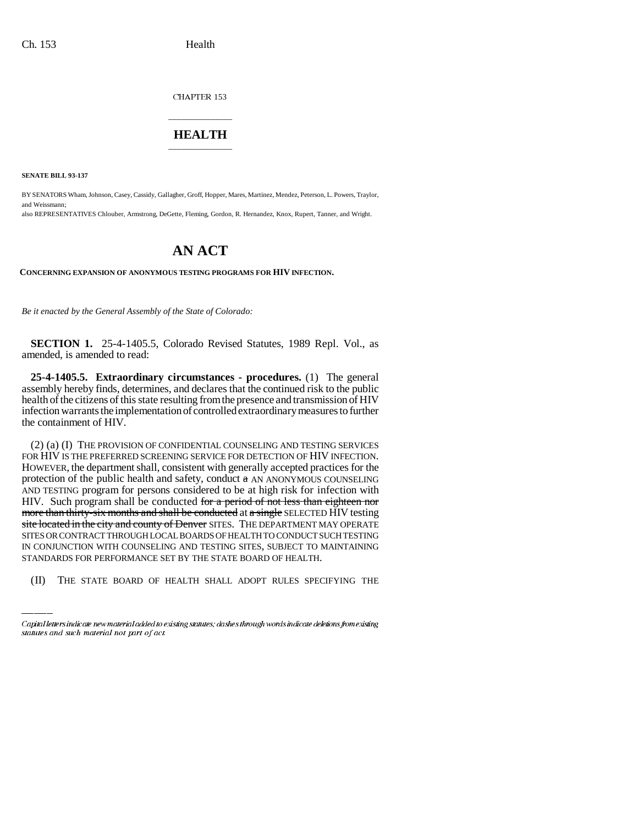CHAPTER 153

## \_\_\_\_\_\_\_\_\_\_\_\_\_\_\_ **HEALTH** \_\_\_\_\_\_\_\_\_\_\_\_\_\_\_

**SENATE BILL 93-137**

BY SENATORS Wham, Johnson, Casey, Cassidy, Gallagher, Groff, Hopper, Mares, Martinez, Mendez, Peterson, L. Powers, Traylor, and Weissmann; also REPRESENTATIVES Chlouber, Armstrong, DeGette, Fleming, Gordon, R. Hernandez, Knox, Rupert, Tanner, and Wright.

## **AN ACT**

**CONCERNING EXPANSION OF ANONYMOUS TESTING PROGRAMS FOR HIV INFECTION.**

*Be it enacted by the General Assembly of the State of Colorado:*

**SECTION 1.** 25-4-1405.5, Colorado Revised Statutes, 1989 Repl. Vol., as amended, is amended to read:

**25-4-1405.5. Extraordinary circumstances - procedures.** (1) The general assembly hereby finds, determines, and declares that the continued risk to the public health of the citizens of this state resulting from the presence and transmission of HIV infection warrants the implementation of controlled extraordinary measures to further the containment of HIV.

SITES OR CONTRACT THROUGH LOCAL BOARDS OF HEALTH TO CONDUCT SUCH TESTING (2) (a) (I) THE PROVISION OF CONFIDENTIAL COUNSELING AND TESTING SERVICES FOR HIV IS THE PREFERRED SCREENING SERVICE FOR DETECTION OF HIV INFECTION. HOWEVER, the department shall, consistent with generally accepted practices for the protection of the public health and safety, conduct  $a$  AN ANONYMOUS COUNSELING AND TESTING program for persons considered to be at high risk for infection with HIV. Such program shall be conducted for a period of not less than eighteen nor more than thirty-six months and shall be conducted at a single SELECTED HIV testing site located in the city and county of Denver SITES. THE DEPARTMENT MAY OPERATE IN CONJUNCTION WITH COUNSELING AND TESTING SITES, SUBJECT TO MAINTAINING STANDARDS FOR PERFORMANCE SET BY THE STATE BOARD OF HEALTH.

(II) THE STATE BOARD OF HEALTH SHALL ADOPT RULES SPECIFYING THE

Capital letters indicate new material added to existing statutes; dashes through words indicate deletions from existing statutes and such material not part of act.